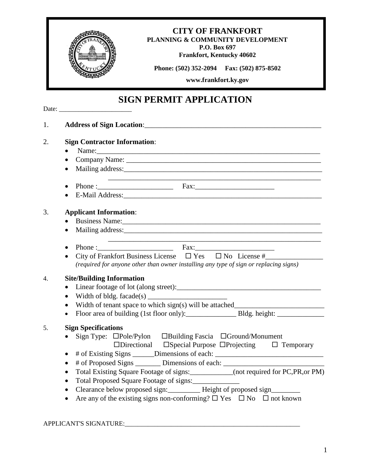

## 1. **Address of Sign Location**:\_\_\_\_\_\_\_\_\_\_\_\_\_\_\_\_\_\_\_\_\_\_\_\_\_\_\_\_\_\_\_\_\_\_\_\_\_\_\_\_\_\_\_\_\_\_\_\_\_ 2. **Sign Contractor Information**:  $\bullet$  Name: Company Name: \_\_\_\_\_\_\_\_\_\_\_\_\_\_\_\_\_\_\_\_\_\_\_\_\_\_\_\_\_\_\_\_\_\_\_\_\_\_\_\_\_\_\_\_\_\_\_\_\_\_\_\_\_\_ • Mailing address: \_\_\_\_\_\_\_\_\_\_\_\_\_\_\_\_\_\_\_\_\_\_\_\_\_\_\_\_\_\_\_\_\_\_\_\_\_\_\_\_\_\_\_\_\_\_\_\_\_\_\_\_\_\_\_\_\_\_\_ Phone :\_\_\_\_\_\_\_\_\_\_\_\_\_\_\_\_\_\_\_\_\_ Fax:\_\_\_\_\_\_\_\_\_\_\_\_\_\_\_\_\_\_\_\_\_\_ • E-Mail Address: 3. **Applicant Information**: • Business Name: Mailing address:\_\_\_\_\_\_\_\_\_\_\_\_\_\_\_\_\_\_\_\_\_\_\_\_\_\_\_\_\_\_\_\_\_\_\_\_\_\_\_\_\_\_\_\_\_\_\_\_\_\_\_\_\_\_\_ \_\_\_\_\_\_\_\_\_\_\_\_\_\_\_\_\_\_\_\_\_\_\_\_\_\_\_\_\_\_\_\_\_\_\_\_\_\_\_\_\_\_\_\_\_\_\_\_\_\_\_\_\_\_\_\_\_\_\_ • Phone :  $\overline{\phantom{a}}$  Fax: City of Frankfort Business License Yes No License #\_\_\_\_\_\_\_\_\_\_\_\_\_\_\_\_ *(required for anyone other than owner installing any type of sign or replacing signs)* 4. **Site/Building Information** • Linear footage of lot (along street): • Width of bldg. facade $(s)$  Width of tenant space to which sign(s) will be attached\_\_\_\_\_\_\_\_\_\_\_\_\_\_\_\_\_\_\_\_\_\_\_\_\_ Floor area of building (1st floor only):\_\_\_\_\_\_\_\_\_\_\_\_\_\_ Bldg. height: \_\_\_\_\_\_\_\_\_\_\_\_\_ 5. **Sign Specifications** • Sign Type:  $\Box$ Pole/Pylon  $\Box$ Building Fascia  $\Box$ Ground/Monument  $\Box$ Directional  $\Box$ Special Purpose  $\Box$ Projecting  $\Box$  Temporary • # of Existing Signs \_\_\_\_\_\_Dimensions of each: \_\_\_\_\_\_\_\_\_\_\_\_\_\_\_\_\_\_\_\_\_\_\_\_\_\_\_\_\_\_\_\_ • # of Proposed Signs \_\_\_\_\_\_\_\_ Dimensions of each: \_\_\_\_\_\_\_\_\_\_\_\_\_\_\_\_\_\_\_\_\_\_\_\_\_\_\_\_\_ Total Existing Square Footage of signs:\_\_\_\_\_\_\_\_\_\_\_\_(not required for PC,PR,or PM) • Total Proposed Square Footage of signs: • Clearance below proposed sign: Height of proposed sign • Are any of the existing signs non-conforming?  $\Box$  Yes  $\Box$  No  $\Box$  not known

## APPLICANT'S SIGNATURE: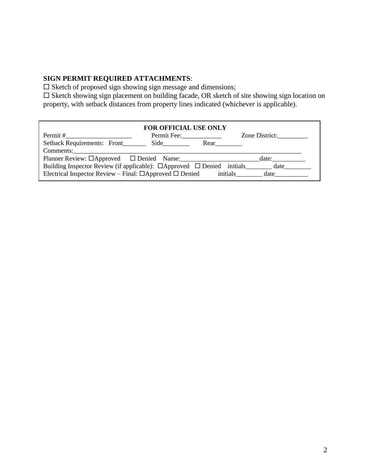## **SIGN PERMIT REQUIRED ATTACHMENTS**:

 $\square$  Sketch of proposed sign showing sign message and dimensions;

 $\square$  Sketch showing sign placement on building facade, OR sketch of site showing sign location on property, with setback distances from property lines indicated (whichever is applicable).

| <b>FOR OFFICIAL USE ONLY</b>                                                              |             |      |                |
|-------------------------------------------------------------------------------------------|-------------|------|----------------|
| Permit #                                                                                  | Permit Fee: |      | Zone District: |
|                                                                                           |             | Rear |                |
| Comments:                                                                                 |             |      |                |
| Planner Review: □Approved □ Denied Name:<br>date:                                         |             |      |                |
| Building Inspector Review (if applicable): $\Box$ Approved $\Box$ Denied initials<br>date |             |      |                |
| Electrical Inspector Review – Final: $\Box$ Approved $\Box$ Denied<br>initials<br>date    |             |      |                |